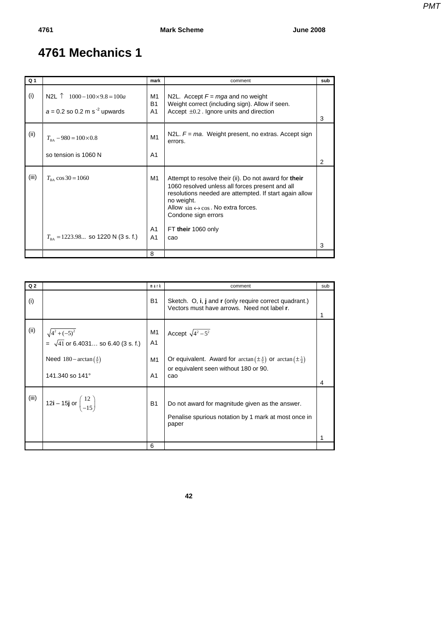## **4761 Mechanics 1**

| Q <sub>1</sub> |                                                                                            | mark                              | comment                                                                                                                                                                                                                                                                                      | sub            |
|----------------|--------------------------------------------------------------------------------------------|-----------------------------------|----------------------------------------------------------------------------------------------------------------------------------------------------------------------------------------------------------------------------------------------------------------------------------------------|----------------|
| (i)            | N2L $\uparrow$ 1000 – 100×9.8 = 100 <i>a</i><br>$a = 0.2$ so 0.2 m s <sup>-2</sup> upwards | M1<br><b>B1</b><br>A <sub>1</sub> | N2L. Accept $F = mga$ and no weight<br>Weight correct (including sign). Allow if seen.<br>Accept $\pm 0.2$ . Ignore units and direction                                                                                                                                                      | 3              |
| (ii)           | $T_{\text{BA}} - 980 = 100 \times 0.8$<br>so tension is 1060 N                             | M1<br>A <sub>1</sub>              | N2L. $F = ma$ . Weight present, no extras. Accept sign<br>errors.                                                                                                                                                                                                                            | $\overline{2}$ |
| (iii)          | $T_{\text{pA}} \cos 30 = 1060$<br>$T_{\text{BA}}$ = 1223.98 so 1220 N (3 s. f.)            | M1<br>A1<br>A <sub>1</sub>        | Attempt to resolve their (ii). Do not award for their<br>1060 resolved unless all forces present and all<br>resolutions needed are attempted. If start again allow<br>no weight.<br>Allow $\sin \leftrightarrow \cos$ . No extra forces.<br>Condone sign errors<br>FT their 1060 only<br>cao |                |
|                |                                                                                            |                                   |                                                                                                                                                                                                                                                                                              | 3              |
|                |                                                                                            | 8                                 |                                                                                                                                                                                                                                                                                              |                |

| Q <sub>2</sub> |                                                                   | mark                 | comment                                                                                                                         | sub |
|----------------|-------------------------------------------------------------------|----------------------|---------------------------------------------------------------------------------------------------------------------------------|-----|
| (i)            |                                                                   | <b>B1</b>            | Sketch. O, i, j and r (only require correct quadrant.)<br>Vectors must have arrows. Need not label r.                           |     |
| (ii)           | $\sqrt{4^2 + (-5)^2}$<br>$=\sqrt{41}$ or 6.4031 so 6.40 (3 s. f.) | M1<br>A <sub>1</sub> | Accept $\sqrt{4^2-5^2}$                                                                                                         |     |
|                | Need $180 - \arctan(\frac{4}{5})$<br>141.340 so 141°              | M1<br>A1             | Or equivalent. Award for $arctan(\pm \frac{4}{5})$ or $arctan(\pm \frac{5}{4})$<br>or equivalent seen without 180 or 90.<br>cao | 4   |
| (iii)          | 12i – 15j or $\binom{12}{-15}$                                    | <b>B1</b>            | Do not award for magnitude given as the answer.<br>Penalise spurious notation by 1 mark at most once in<br>paper                |     |
|                |                                                                   | 6                    |                                                                                                                                 |     |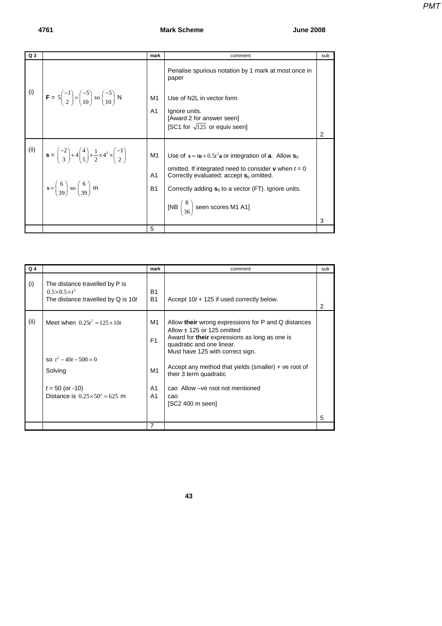## **4761 Mark Scheme June 2008**

| Q <sub>3</sub> |                                                                                                                                                                                                                                                                 | mark                              | comment                                                                                                                                                                                                                                                                                                          | sub |
|----------------|-----------------------------------------------------------------------------------------------------------------------------------------------------------------------------------------------------------------------------------------------------------------|-----------------------------------|------------------------------------------------------------------------------------------------------------------------------------------------------------------------------------------------------------------------------------------------------------------------------------------------------------------|-----|
| (i)            | $\mathbf{F} = 5 \begin{pmatrix} -1 \\ 2 \end{pmatrix} = \begin{pmatrix} -5 \\ 10 \end{pmatrix}$ so $\begin{pmatrix} -5 \\ 10 \end{pmatrix}$ N                                                                                                                   | M1<br>A <sub>1</sub>              | Penalise spurious notation by 1 mark at most once in<br>paper<br>Use of N2L in vector form<br>Ignore units.<br>[Award 2 for answer seen]                                                                                                                                                                         |     |
|                |                                                                                                                                                                                                                                                                 |                                   | [SC1 for $\sqrt{125}$ or equiv seen]                                                                                                                                                                                                                                                                             | 2   |
| (ii)           | $\mathbf{s} = \begin{pmatrix} -2 \\ 3 \end{pmatrix} + 4 \begin{pmatrix} 4 \\ 5 \end{pmatrix} + \frac{1}{2} \times 4^2 \times \begin{pmatrix} -1 \\ 2 \end{pmatrix}$<br>$s = \begin{pmatrix} 6 \\ 39 \end{pmatrix}$ so $\begin{pmatrix} 6 \\ 39 \end{pmatrix}$ m | M1<br>A <sub>1</sub><br><b>B1</b> | Use of $s = t\mathbf{u} + 0.5t^2\mathbf{a}$ or integration of <b>a</b> . Allow $\mathbf{s}_0$<br>omitted. If integrated need to consider <b>v</b> when $t = 0$<br>Correctly evaluated; accept $s_0$ omitted.<br>Correctly adding $s_0$ to a vector (FT). Ignore units.<br>[NB $\binom{8}{36}$ seen scores M1 A1] | 3   |
|                |                                                                                                                                                                                                                                                                 | 5                                 |                                                                                                                                                                                                                                                                                                                  |     |

| $Q_4$ |                                                                                                                                       | mark                                                           | comment                                                                                                                                                                                                                                                                                                                                                            | sub |
|-------|---------------------------------------------------------------------------------------------------------------------------------------|----------------------------------------------------------------|--------------------------------------------------------------------------------------------------------------------------------------------------------------------------------------------------------------------------------------------------------------------------------------------------------------------------------------------------------------------|-----|
| (i)   | The distance travelled by P is<br>$0.5 \times 0.5 \times t^2$<br>The distance travelled by $Q$ is 10t                                 | B <sub>1</sub><br><b>B1</b>                                    | Accept $10t + 125$ if used correctly below.                                                                                                                                                                                                                                                                                                                        | 2   |
| (ii)  | Meet when $0.25t^2 = 125 + 10t$<br>so $t^2 - 40t - 500 = 0$<br>Solving<br>$t = 50$ (or -10)<br>Distance is $0.25 \times 50^2 = 625$ m | M1<br>F <sub>1</sub><br>M1<br>A <sub>1</sub><br>A <sub>1</sub> | Allow their wrong expressions for P and Q distances<br>Allow $\pm$ 125 or 125 omitted<br>Award for <b>their</b> expressions as long as one is<br>quadratic and one linear.<br>Must have 125 with correct sign.<br>Accept any method that yields (smaller) $+$ ve root of<br>their 3 term quadratic<br>cao Allow - ve root not mentioned<br>cao<br>[SC2 400 m seen] | 5   |
|       |                                                                                                                                       | $\overline{7}$                                                 |                                                                                                                                                                                                                                                                                                                                                                    |     |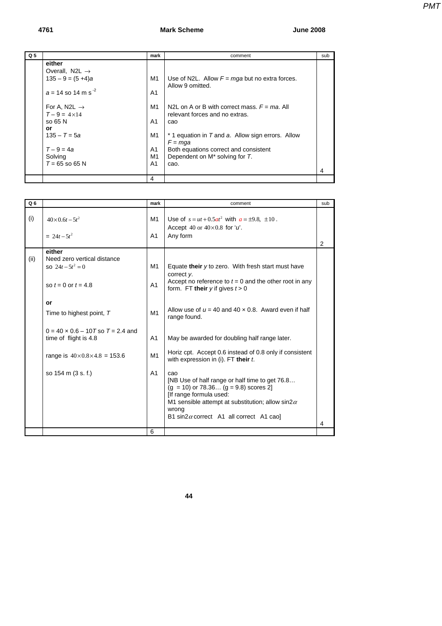## **4761 Mark Scheme June 2008**

| Q <sub>5</sub> |                                  | mark           | comment                                           | sub |
|----------------|----------------------------------|----------------|---------------------------------------------------|-----|
|                | either                           |                |                                                   |     |
|                | Overall, N2L $\rightarrow$       |                |                                                   |     |
|                | $135 - 9 = (5 + 4)a$             | M1             | Use of N2L. Allow $F = mqa$ but no extra forces.  |     |
|                |                                  |                | Allow 9 omitted.                                  |     |
|                | $a = 14$ so 14 m s <sup>-2</sup> | A <sub>1</sub> |                                                   |     |
|                |                                  |                |                                                   |     |
|                | For A, N2L $\rightarrow$         | M1             | N2L on A or B with correct mass. $F = ma$ . All   |     |
|                | $T - 9 = 4 \times 14$            |                | relevant forces and no extras.                    |     |
|                | so 65 N                          | A1             | cao                                               |     |
|                | or                               |                |                                                   |     |
|                | $135 - T = 5a$                   | M1             | * 1 equation in T and a. Allow sign errors. Allow |     |
|                |                                  |                | $F = mqa$                                         |     |
|                | $T - 9 = 4a$                     | A1             | Both equations correct and consistent             |     |
|                | Solving                          | M1             | Dependent on M <sup>*</sup> solving for T.        |     |
|                | $T = 65$ so 65 N                 | A <sub>1</sub> | cao.                                              |     |
|                |                                  |                |                                                   |     |
|                |                                  | 4              |                                                   |     |

| Q <sub>6</sub> |                                                                                         | mark                 | comment                                                                                                                                                                                                                                              | sub |
|----------------|-----------------------------------------------------------------------------------------|----------------------|------------------------------------------------------------------------------------------------------------------------------------------------------------------------------------------------------------------------------------------------------|-----|
| (i)            | $40 \times 0.6t - 5t^2$                                                                 | M1                   | Use of $s = ut + 0.5at^2$ with $a = \pm 9.8$ , $\pm 10$ .<br>Accept 40 or $40\times0.8$ for 'u'.                                                                                                                                                     |     |
|                | $= 24t - 5t^2$                                                                          | A <sub>1</sub>       | Any form                                                                                                                                                                                                                                             | 2   |
| (ii)           | either<br>Need zero vertical distance<br>so $24t - 5t^2 = 0$<br>so $t = 0$ or $t = 4.8$ | M1<br>A <sub>1</sub> | Equate their y to zero. With fresh start must have<br>correct y.<br>Accept no reference to $t = 0$ and the other root in any                                                                                                                         |     |
|                | or<br>Time to highest point, T                                                          | M1                   | form. FT their $y$ if gives $t > 0$<br>Allow use of $u = 40$ and $40 \times 0.8$ . Award even if half<br>range found.                                                                                                                                |     |
|                | $0 = 40 \times 0.6 - 10T$ so $T = 2.4$ and<br>time of flight is 4.8                     | A <sub>1</sub>       | May be awarded for doubling half range later.                                                                                                                                                                                                        |     |
|                | range is $40 \times 0.8 \times 4.8 = 153.6$                                             | M1                   | Horiz cpt. Accept 0.6 instead of 0.8 only if consistent<br>with expression in (i). FT their t.                                                                                                                                                       |     |
|                | so 154 m (3 s. f.)                                                                      | A <sub>1</sub>       | cao<br>[NB Use of half range or half time to get 76.8<br>$(q = 10)$ or 78.36 $(q = 9.8)$ scores 2<br>[If range formula used:<br>M1 sensible attempt at substitution; allow sin2 $\alpha$<br>wrong<br>B1 sin2 $\alpha$ correct A1 all correct A1 cao] |     |
|                |                                                                                         |                      |                                                                                                                                                                                                                                                      | 4   |
|                |                                                                                         | 6                    |                                                                                                                                                                                                                                                      |     |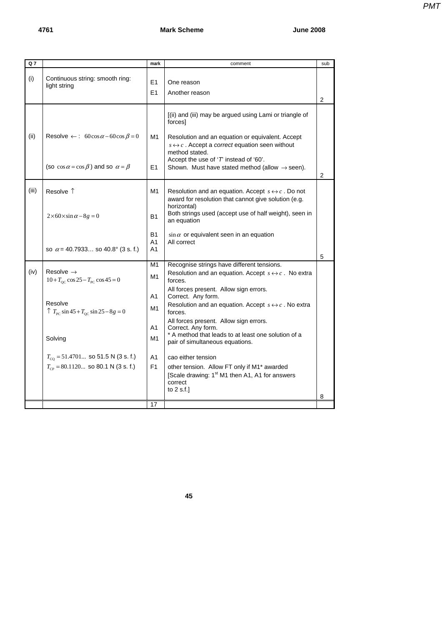| PMT |
|-----|
|     |
|     |
|     |

| Q 7   |                                                                                                                                                                                                                                                                   | mark                                                     | comment                                                                                                                                                                                                                                                                                                                                                                                                                                                                                                                                                                                                | sub            |
|-------|-------------------------------------------------------------------------------------------------------------------------------------------------------------------------------------------------------------------------------------------------------------------|----------------------------------------------------------|--------------------------------------------------------------------------------------------------------------------------------------------------------------------------------------------------------------------------------------------------------------------------------------------------------------------------------------------------------------------------------------------------------------------------------------------------------------------------------------------------------------------------------------------------------------------------------------------------------|----------------|
| (i)   | Continuous string: smooth ring:<br>light string                                                                                                                                                                                                                   | E1<br>F <sub>1</sub>                                     | One reason<br>Another reason                                                                                                                                                                                                                                                                                                                                                                                                                                                                                                                                                                           | $\overline{2}$ |
| (ii)  | Resolve $\leftarrow$ : 60cos $\alpha$ – 60cos $\beta$ = 0<br>(so $\cos \alpha = \cos \beta$ ) and so $\alpha = \beta$                                                                                                                                             | M1<br>E1                                                 | [(ii) and (iii) may be argued using Lami or triangle of<br>forces]<br>Resolution and an equation or equivalent. Accept<br>$s \leftrightarrow c$ . Accept a <i>correct</i> equation seen without<br>method stated.<br>Accept the use of 'T instead of '60'.<br>Shown. Must have stated method (allow $\rightarrow$ seen).                                                                                                                                                                                                                                                                               | 2              |
| (iii) | Resolve 1<br>$2\times 60\times \sin\alpha - 8g = 0$                                                                                                                                                                                                               | M1<br><b>B1</b>                                          | Resolution and an equation. Accept $s \leftrightarrow c$ . Do not<br>award for resolution that cannot give solution (e.g.<br>horizontal)<br>Both strings used (accept use of half weight), seen in<br>an equation                                                                                                                                                                                                                                                                                                                                                                                      |                |
|       | so $\alpha$ = 40.7933 so 40.8° (3 s. f.)                                                                                                                                                                                                                          | <b>B1</b><br>A <sub>1</sub><br>A <sub>1</sub>            | $\sin \alpha$ or equivalent seen in an equation<br>All correct                                                                                                                                                                                                                                                                                                                                                                                                                                                                                                                                         | 5              |
| (iv)  | Resolve $\rightarrow$<br>$10 + T_{\rm oc} \cos 25 - T_{\rm pc} \cos 45 = 0$<br>Resolve<br>$\uparrow T_{\text{PC}} \sin 45 + T_{\text{OC}} \sin 25 - 8g = 0$<br>Solving<br>$T_{\text{CO}}$ = 51.4701 so 51.5 N (3 s. f.)<br>$T_{CP}$ = 80.1120 so 80.1 N (3 s. f.) | M1<br>M1<br>A1<br>M <sub>1</sub><br>A1<br>M1<br>A1<br>F1 | Recognise strings have different tensions.<br>Resolution and an equation. Accept $s \leftrightarrow c$ . No extra<br>forces.<br>All forces present. Allow sign errors.<br>Correct. Any form.<br>Resolution and an equation. Accept $s \leftrightarrow c$ . No extra<br>forces.<br>All forces present. Allow sign errors.<br>Correct. Any form.<br>* A method that leads to at least one solution of a<br>pair of simultaneous equations.<br>cao either tension<br>other tension. Allow FT only if M1* awarded<br>[Scale drawing: 1 <sup>st</sup> M1 then A1, A1 for answers<br>correct<br>to $2$ s.f.] |                |
|       |                                                                                                                                                                                                                                                                   |                                                          |                                                                                                                                                                                                                                                                                                                                                                                                                                                                                                                                                                                                        | 8              |
|       |                                                                                                                                                                                                                                                                   | 17                                                       |                                                                                                                                                                                                                                                                                                                                                                                                                                                                                                                                                                                                        |                |

**45**